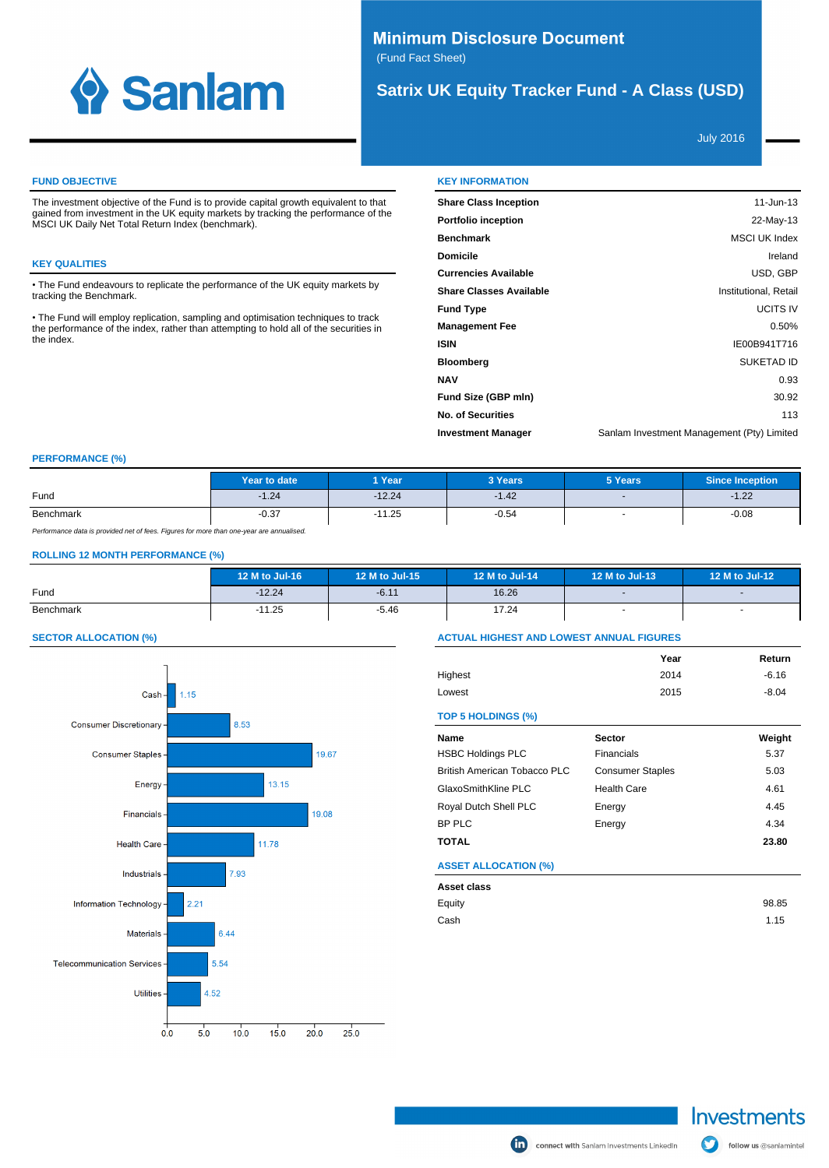

# **Minimum Disclosure Document** (Fund Fact Sheet)

# **Satrix UK Equity Tracker Fund - A Class (USD)**

July 2016

### **FUND OBJECTIVE**

The investment objective of the Fund is to provide capital growth equivalent to that gained from investment in the UK equity markets by tracking the performance of the MSCI UK Daily Net Total Return Index (benchmark).

## **KEY QUALITIES**

The Fund endeavours to replicate the performance of the UK equity markets by tracking the Benchmark.

The Fund will employ replication, sampling and optimisation techniques to track the performance of the index, rather than attempting to hold all of the securities in the index.

| <b>KEY INFORMATION</b> |  |
|------------------------|--|
|                        |  |

| 11-Jun-13                                  |
|--------------------------------------------|
| 22-May-13                                  |
| <b>MSCI UK Index</b>                       |
| Ireland                                    |
| USD, GBP                                   |
| Institutional, Retail                      |
| <b>UCITS IV</b>                            |
| 0.50%                                      |
| IE00B941T716                               |
| <b>SUKETAD ID</b>                          |
| 0.93                                       |
| 30.92                                      |
| 113                                        |
| Sanlam Investment Management (Pty) Limited |
|                                            |

### **PERFORMANCE (%)**

|                                                                                          | Year to date | 1 Year   | 3 Years | 5 Years                  | <b>Since Inception</b> |  |
|------------------------------------------------------------------------------------------|--------------|----------|---------|--------------------------|------------------------|--|
| Fund                                                                                     | $-1.24$      | $-12.24$ | $-1.42$ | $\sim$                   | $-1.22$                |  |
| Benchmark                                                                                | $-0.37$      | $-11.25$ | $-0.54$ | $\overline{\phantom{a}}$ | $-0.08$                |  |
| Performance data is provided net of fees. Figures for more than one-vear are annualised. |              |          |         |                          |                        |  |

## **ROLLING 12 MONTH PERFORMANCE (%)**

|           | 12 M to Jul-16 | 12 M to Jul-15 | 12 M to Jul-14 | 12 M to Jul-13           | 12 M to Jul-12 |
|-----------|----------------|----------------|----------------|--------------------------|----------------|
| Fund      | $-12.24$       | $-6.11$        | 16.26          | $\sim$                   |                |
| Benchmark | $-11.25$       | $-5.46$        | 17.24          | $\overline{\phantom{a}}$ |                |

### **SECTOR ALLOCATION (%)**



## **ACTUAL HIGHEST AND LOWEST ANNUAL FIGURES**

|         | Year | Return  |
|---------|------|---------|
| Highest | 2014 | $-6.16$ |
| Lowest  | 2015 | $-8.04$ |

#### **TOP 5 HOLDINGS (%)**

| Name                         | <b>Sector</b>           | Weight |
|------------------------------|-------------------------|--------|
| <b>HSBC Holdings PLC</b>     | Financials              | 5.37   |
| British American Tobacco PLC | <b>Consumer Staples</b> | 5.03   |
| GlaxoSmithKline PLC          | <b>Health Care</b>      | 4.61   |
| Royal Dutch Shell PLC        | Energy                  | 4.45   |
| BP PLC                       | Energy                  | 4.34   |
| <b>TOTAL</b>                 |                         | 23.80  |
| <b>ASSET ALLOCATION (%)</b>  |                         |        |
| Asset class                  |                         |        |
| Equity                       |                         | 98.85  |
| Cash                         |                         | 1.15   |

follow us @sanlamintel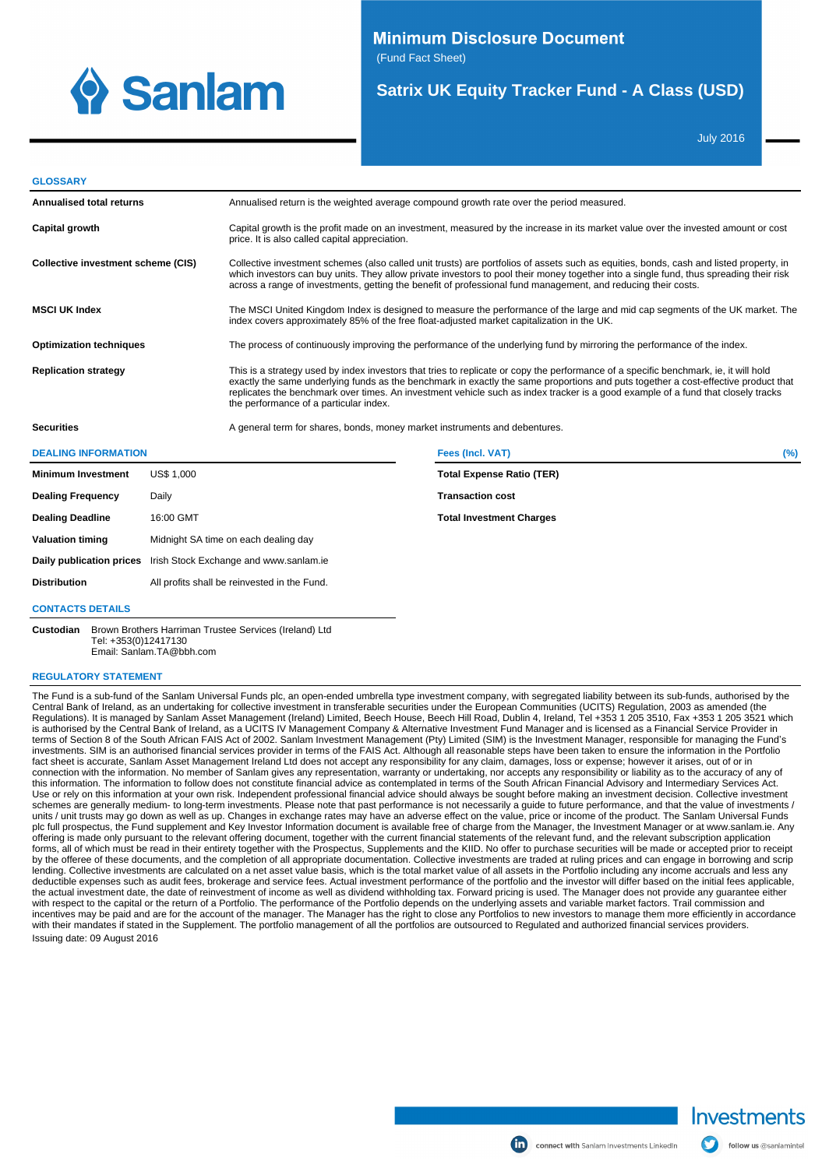

# **Minimum Disclosure Document**

(Fund Fact Sheet)

# **Satrix UK Equity Tracker Fund - A Class (USD)**

July 2016

#### **GLOSSARY**

| Annualised total returns           | Annualised return is the weighted average compound growth rate over the period measured.                                                                                                                                                                                                                                                                                                                                                                 |        |
|------------------------------------|----------------------------------------------------------------------------------------------------------------------------------------------------------------------------------------------------------------------------------------------------------------------------------------------------------------------------------------------------------------------------------------------------------------------------------------------------------|--------|
| Capital growth                     | Capital growth is the profit made on an investment, measured by the increase in its market value over the invested amount or cost<br>price. It is also called capital appreciation.                                                                                                                                                                                                                                                                      |        |
| Collective investment scheme (CIS) | Collective investment schemes (also called unit trusts) are portfolios of assets such as equities, bonds, cash and listed property, in<br>which investors can buy units. They allow private investors to pool their money together into a single fund, thus spreading their risk<br>across a range of investments, getting the benefit of professional fund management, and reducing their costs.                                                        |        |
| <b>MSCI UK Index</b>               | The MSCI United Kingdom Index is designed to measure the performance of the large and mid cap segments of the UK market. The<br>index covers approximately 85% of the free float-adjusted market capitalization in the UK.                                                                                                                                                                                                                               |        |
| <b>Optimization techniques</b>     | The process of continuously improving the performance of the underlying fund by mirroring the performance of the index.                                                                                                                                                                                                                                                                                                                                  |        |
| <b>Replication strategy</b>        | This is a strategy used by index investors that tries to replicate or copy the performance of a specific benchmark, ie, it will hold<br>exactly the same underlying funds as the benchmark in exactly the same proportions and puts together a cost-effective product that<br>replicates the benchmark over times. An investment vehicle such as index tracker is a good example of a fund that closely tracks<br>the performance of a particular index. |        |
| <b>Securities</b>                  | A general term for shares, bonds, money market instruments and debentures.                                                                                                                                                                                                                                                                                                                                                                               |        |
| <b>DEALING INFORMATION</b>         | Fees (Incl. VAT)                                                                                                                                                                                                                                                                                                                                                                                                                                         | $(\%)$ |

| <b>Minimum Investment</b> | US\$ 1,000                                                      | <b>Total Expense Ratio (TER)</b> |
|---------------------------|-----------------------------------------------------------------|----------------------------------|
| <b>Dealing Frequency</b>  | Daily                                                           | <b>Transaction cost</b>          |
| <b>Dealing Deadline</b>   | 16:00 GMT                                                       | <b>Total Investment Charges</b>  |
| <b>Valuation timing</b>   | Midnight SA time on each dealing day                            |                                  |
|                           | Daily publication prices Irish Stock Exchange and www.sanlam.ie |                                  |
| <b>Distribution</b>       | All profits shall be reinvested in the Fund.                    |                                  |
| <b>CONTACTS DETAILS</b>   |                                                                 |                                  |

**Custodian** Brown Brothers Harriman Trustee Services (Ireland) Ltd Tel: +353(0)12417130

Email: Sanlam.TA@bbh.com

### **REGULATORY STATEMENT**

The Fund is a sub-fund of the Sanlam Universal Funds plc, an open-ended umbrella type investment company, with segregated liability between its sub-funds, authorised by the Central Bank of Ireland, as an undertaking for collective investment in transferable securities under the European Communities (UCITS) Regulation, 2003 as amended (the Regulations). It is managed by Sanlam Asset Management (Ireland) Limited, Beech House, Beech Hill Road, Dublin 4, Ireland, Tel +353 1 205 3510, Fax +353 1 205 3521 which<br>is authorised by the Central Bank of Ireland, as a U terms of Section 8 of the South African FAIS Act of 2002. Sanlam Investment Management (Pty) Limited (SIM) is the Investment Manager, responsible for managing the Fund's investments. SIM is an authorised financial services provider in terms of the FAIS Act. Although all reasonable steps have been taken to ensure the information in the Portfolio fact sheet is accurate, Sanlam Asset Management Ireland Ltd does not accept any responsibility for any claim, damages, loss or expense; however it arises, out of or in connection with the information. No member of Sanlam gives any representation, warranty or undertaking, nor accepts any responsibility or liability as to the accuracy of any of<br>this information. The information to follow d Use or rely on this information at your own risk. Independent professional financial advice should always be sought before making an investment decision. Collective investment schemes are generally medium- to long-term investments. Please note that past performance is not necessarily a guide to future performance, and that the value of investments / units / unit trusts may go down as well as up. Changes in exchange rates may have an adverse effect on the value, price or income of the product. The Sanlam Universal Funds<br>plc full prospectus, the Fund supplement and Key offering is made only pursuant to the relevant offering document, together with the current financial statements of the relevant fund, and the relevant subscription application forms, all of which must be read in their entirety together with the Prospectus, Supplements and the KIID. No offer to purchase securities will be made or accepted prior to receipt by the offeree of these documents, and the completion of all appropriate documentation. Collective investments are traded at ruling prices and can engage in borrowing and scrip lending. Collective investments are calculated on a net asset value basis, which is the total market value of all assets in the Portfolio including any income accruals and less any deductible expenses such as audit fees, brokerage and service fees. Actual investment performance of the portfolio and the investor will differ based on the initial fees applicable,<br>the actual investment date, the date of with respect to the capital or the return of a Portfolio. The performance of the Portfolio depends on the underlying assets and variable market factors. Trail commission and incentives may be paid and are for the account of the manager. The Manager has the right to close any Portfolios to new investors to manage them more efficiently in accordance with their mandates if stated in the Supplement. The portfolio management of all the portfolios are outsourced to Regulated and authorized financial services providers. Issuing date: 09 August 2016



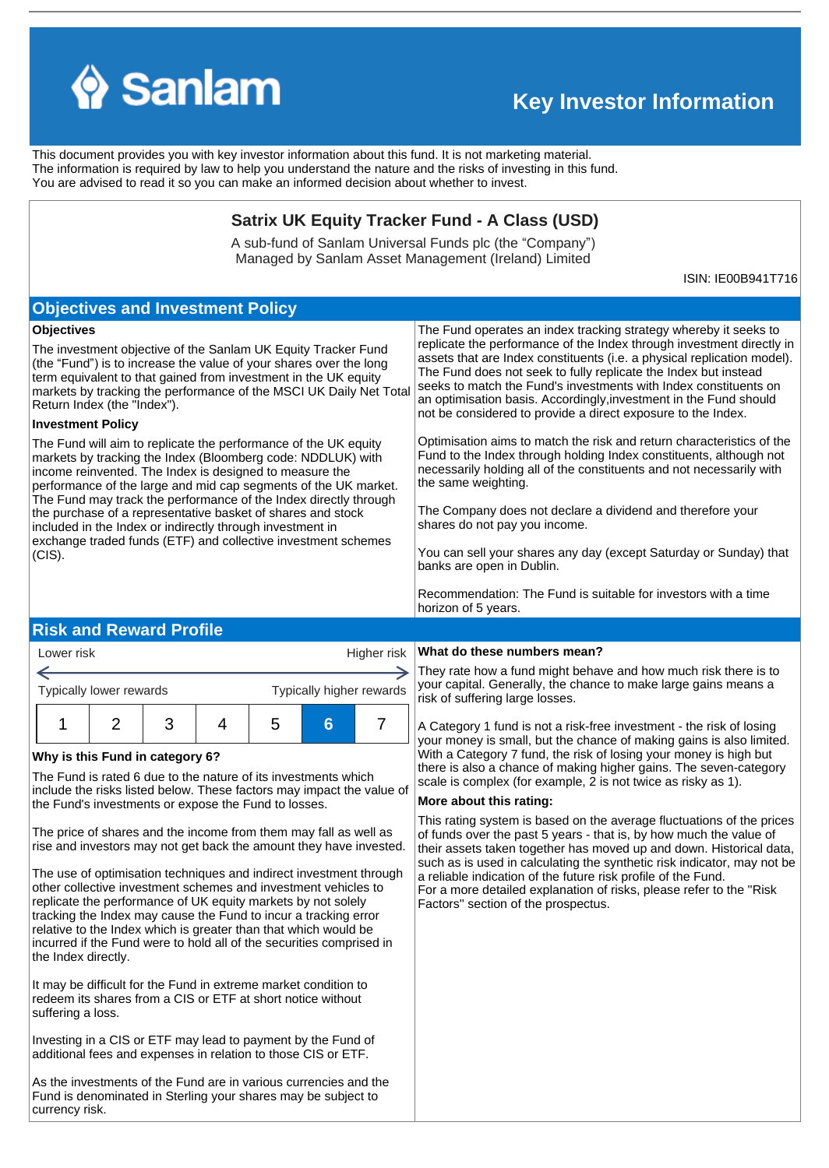

# **Key Investor Information**

This document provides you with key investor information about this fund. It is not marketing material. The information is required by law to help you understand the nature and the risks of investing in this fund. You are advised to read it so you can make an informed decision about whether to invest.

## **Satrix UK Equity Tracker Fund - A Class (USD)**

A sub-fund of Sanlam Universal Funds plc (the "Company") Managed by Sanlam Asset Management (Ireland) Limited

ISIN: IE00B941T716

# **Objectives and Investment Policy**

## **Objectives**

The investment objective of the Sanlam UK Equity Tracker Fund (the "Fund") is to increase the value of your shares over the long term equivalent to that gained from investment in the UK equity markets by tracking the performance of the MSCI UK Daily Net Total Return Index (the "Index").

## **Investment Policy**

Lower risk

The Fund will aim to replicate the performance of the UK equity markets by tracking the Index (Bloomberg code: NDDLUK) with income reinvented. The Index is designed to measure the performance of the large and mid cap segments of the UK market. The Fund may track the performance of the Index directly through the purchase of a representative basket of shares and stock included in the Index or indirectly through investment in exchange traded funds (ETF) and collective investment schemes (CIS).

The Fund operates an index tracking strategy whereby it seeks to replicate the performance of the Index through investment directly in assets that are Index constituents (i.e. a physical replication model). The Fund does not seek to fully replicate the Index but instead seeks to match the Fund's investments with Index constituents on an optimisation basis. Accordingly,investment in the Fund should not be considered to provide a direct exposure to the Index.

Optimisation aims to match the risk and return characteristics of the Fund to the Index through holding Index constituents, although not necessarily holding all of the constituents and not necessarily with the same weighting.

The Company does not declare a dividend and therefore your shares do not pay you income.

You can sell your shares any day (except Saturday or Sunday) that banks are open in Dublin.

Recommendation: The Fund is suitable for investors with a time horizon of 5 years.

# **Risk and Reward Profile**

| LOWEI IISK              |  |  |   | $n$ iqriei risk   $\cdots$ |                          |             |
|-------------------------|--|--|---|----------------------------|--------------------------|-------------|
|                         |  |  |   |                            |                          | Th          |
| Typically lower rewards |  |  |   |                            | Typically higher rewards | yoı<br>risl |
|                         |  |  | G | Б                          |                          | VOI         |

## **Why is this Fund in category 6?**

The Fund is rated 6 due to the nature of its investments which include the risks listed below. These factors may impact the value of the Fund's investments or expose the Fund to losses.

The price of shares and the income from them may fall as well as rise and investors may not get back the amount they have invested.

The use of optimisation techniques and indirect investment through other collective investment schemes and investment vehicles to replicate the performance of UK equity markets by not solely tracking the Index may cause the Fund to incur a tracking error relative to the Index which is greater than that which would be incurred if the Fund were to hold all of the securities comprised in the Index directly.

It may be difficult for the Fund in extreme market condition to redeem its shares from a CIS or ETF at short notice without suffering a loss.

Investing in a CIS or ETF may lead to payment by the Fund of additional fees and expenses in relation to those CIS or ETF.

As the investments of the Fund are in various currencies and the Fund is denominated in Sterling your shares may be subject to currency risk.

## Higher risk **What do these numbers mean?**

ey rate how a fund might behave and how much risk there is to ur capital. Generally, the chance to make large gains means a k of suffering large losses.

Category 1 fund is not a risk-free investment - the risk of losing ur money is small, but the chance of making gains is also limited. With a Category 7 fund, the risk of losing your money is high but there is also a chance of making higher gains. The seven-category scale is complex (for example, 2 is not twice as risky as 1).

## **More about this rating:**

This rating system is based on the average fluctuations of the prices of funds over the past 5 years - that is, by how much the value of their assets taken together has moved up and down. Historical data, such as is used in calculating the synthetic risk indicator, may not be a reliable indication of the future risk profile of the Fund. For a more detailed explanation of risks, please refer to the ''Risk Factors'' section of the prospectus.